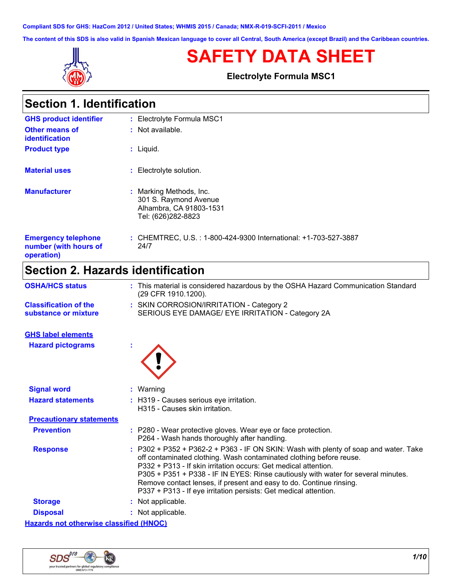**Compliant SDS for GHS: HazCom 2012 / United States; WHMIS 2015 / Canada; NMX-R-019-SCFI-2011 / Mexico**

**The content of this SDS is also valid in Spanish Mexican language to cover all Central, South America (except Brazil) and the Caribbean countries.**



# **SAFETY DATA SHEET**

**Electrolyte Formula MSC1**

| <b>Section 1. Identification</b>                                  |                                                                                                 |  |
|-------------------------------------------------------------------|-------------------------------------------------------------------------------------------------|--|
| <b>GHS product identifier</b>                                     | : Electrolyte Formula MSC1                                                                      |  |
| Other means of<br>identification                                  | $:$ Not available.                                                                              |  |
| <b>Product type</b>                                               | : Liquid.                                                                                       |  |
| <b>Material uses</b>                                              | Electrolyte solution.                                                                           |  |
| <b>Manufacturer</b>                                               | Marking Methods, Inc.<br>301 S. Raymond Avenue<br>Alhambra, CA 91803-1531<br>Tel: (626)282-8823 |  |
| <b>Emergency telephone</b><br>number (with hours of<br>operation) | : CHEMTREC, U.S.: 1-800-424-9300 International: +1-703-527-3887<br>24/7                         |  |

# **Section 2. Hazards identification**

| <b>OSHA/HCS status</b>                               | : This material is considered hazardous by the OSHA Hazard Communication Standard<br>(29 CFR 1910.1200).                                                                                                                                                                                                                                                                                                                                                         |
|------------------------------------------------------|------------------------------------------------------------------------------------------------------------------------------------------------------------------------------------------------------------------------------------------------------------------------------------------------------------------------------------------------------------------------------------------------------------------------------------------------------------------|
| <b>Classification of the</b><br>substance or mixture | : SKIN CORROSION/IRRITATION - Category 2<br>SERIOUS EYE DAMAGE/ EYE IRRITATION - Category 2A                                                                                                                                                                                                                                                                                                                                                                     |
| <b>GHS label elements</b>                            |                                                                                                                                                                                                                                                                                                                                                                                                                                                                  |
| <b>Hazard pictograms</b>                             |                                                                                                                                                                                                                                                                                                                                                                                                                                                                  |
| <b>Signal word</b>                                   | : Warning                                                                                                                                                                                                                                                                                                                                                                                                                                                        |
| <b>Hazard statements</b>                             | : H319 - Causes serious eye irritation.<br>H315 - Causes skin irritation.                                                                                                                                                                                                                                                                                                                                                                                        |
| <b>Precautionary statements</b>                      |                                                                                                                                                                                                                                                                                                                                                                                                                                                                  |
| <b>Prevention</b>                                    | : P280 - Wear protective gloves. Wear eye or face protection.<br>P264 - Wash hands thoroughly after handling.                                                                                                                                                                                                                                                                                                                                                    |
| <b>Response</b>                                      | $: P302 + P352 + P362-2 + P363 - IF ON SKIN: Wash with plenty of soap and water. Take$<br>off contaminated clothing. Wash contaminated clothing before reuse.<br>P332 + P313 - If skin irritation occurs: Get medical attention.<br>P305 + P351 + P338 - IF IN EYES: Rinse cautiously with water for several minutes.<br>Remove contact lenses, if present and easy to do. Continue rinsing.<br>P337 + P313 - If eye irritation persists: Get medical attention. |
| <b>Storage</b>                                       | : Not applicable.                                                                                                                                                                                                                                                                                                                                                                                                                                                |
| <b>Disposal</b>                                      | : Not applicable.                                                                                                                                                                                                                                                                                                                                                                                                                                                |
| <b>Hazards not otherwise classified (HNOC)</b>       |                                                                                                                                                                                                                                                                                                                                                                                                                                                                  |

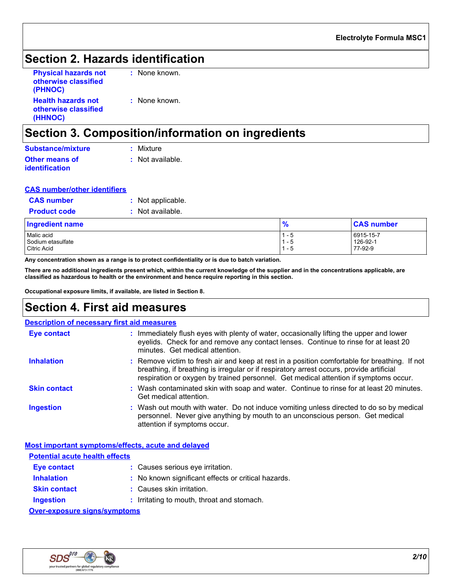## **Section 2. Hazards identification**

| <b>Physical hazards not</b><br>otherwise classified<br>(PHNOC) | : None known. |
|----------------------------------------------------------------|---------------|
| <b>Health hazards not</b><br>otherwise classified<br>(HHNOC)   | : None known. |

## **Section 3. Composition/information on ingredients**

| <b>Substance/mixture</b> | : Mixture        |
|--------------------------|------------------|
| <b>Other means of</b>    | : Not available. |
| <i>identification</i>    |                  |

#### **CAS number/other identifiers**

| <b>Product code</b> | $:$ Not available. |
|---------------------|--------------------|
| <b>CAS</b> number   | : Not applicable.  |

| <b>Ingredient name</b> | $\bullet$ | <b>CAS number</b> |  |
|------------------------|-----------|-------------------|--|
| Malic acid             | - 5       | 6915-15-7         |  |
| Sodium etasulfate      | - 5       | 126-92-1          |  |
| Citric Acid            | . – 5     | 77-92-9           |  |

**Any concentration shown as a range is to protect confidentiality or is due to batch variation.**

**There are no additional ingredients present which, within the current knowledge of the supplier and in the concentrations applicable, are classified as hazardous to health or the environment and hence require reporting in this section.**

**Occupational exposure limits, if available, are listed in Section 8.**

## **Section 4. First aid measures**

#### **Description of necessary first aid measures**

| Eye contact         | : Immediately flush eyes with plenty of water, occasionally lifting the upper and lower<br>eyelids. Check for and remove any contact lenses. Continue to rinse for at least 20<br>minutes. Get medical attention.                                                                 |
|---------------------|-----------------------------------------------------------------------------------------------------------------------------------------------------------------------------------------------------------------------------------------------------------------------------------|
| <b>Inhalation</b>   | : Remove victim to fresh air and keep at rest in a position comfortable for breathing. If not<br>breathing, if breathing is irregular or if respiratory arrest occurs, provide artificial<br>respiration or oxygen by trained personnel. Get medical attention if symptoms occur. |
| <b>Skin contact</b> | : Wash contaminated skin with soap and water. Continue to rinse for at least 20 minutes.<br>Get medical attention.                                                                                                                                                                |
| <b>Ingestion</b>    | : Wash out mouth with water. Do not induce vomiting unless directed to do so by medical<br>personnel. Never give anything by mouth to an unconscious person. Get medical<br>attention if symptoms occur.                                                                          |

#### **Most important symptoms/effects, acute and delayed**

| <b>Potential acute health effects</b> |                                                     |
|---------------------------------------|-----------------------------------------------------|
| Eye contact                           | : Causes serious eye irritation.                    |
| <b>Inhalation</b>                     | : No known significant effects or critical hazards. |
| <b>Skin contact</b>                   | : Causes skin irritation.                           |
| <b>Ingestion</b>                      | : Irritating to mouth, throat and stomach.          |
| <b>Over-exposure signs/symptoms</b>   |                                                     |

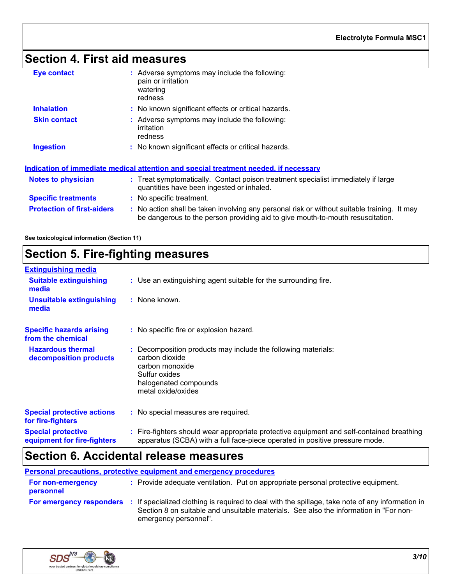# **Section 4. First aid measures**

| <b>Eye contact</b>                | : Adverse symptoms may include the following:<br>pain or irritation<br>watering<br>redness                                                                                    |
|-----------------------------------|-------------------------------------------------------------------------------------------------------------------------------------------------------------------------------|
| <b>Inhalation</b>                 | : No known significant effects or critical hazards.                                                                                                                           |
| <b>Skin contact</b>               | : Adverse symptoms may include the following:<br>irritation<br>redness                                                                                                        |
| <b>Ingestion</b>                  | : No known significant effects or critical hazards.                                                                                                                           |
|                                   | Indication of immediate medical attention and special treatment needed, if necessary                                                                                          |
| <b>Notes to physician</b>         | : Treat symptomatically. Contact poison treatment specialist immediately if large<br>quantities have been ingested or inhaled.                                                |
| <b>Specific treatments</b>        | : No specific treatment.                                                                                                                                                      |
| <b>Protection of first-aiders</b> | : No action shall be taken involving any personal risk or without suitable training. It may<br>be dangerous to the person providing aid to give mouth-to-mouth resuscitation. |
|                                   |                                                                                                                                                                               |

**See toxicological information (Section 11)**

# **Section 5. Fire-fighting measures**

| <b>Extinguishing media</b>                               |                                                                                                                                                                          |
|----------------------------------------------------------|--------------------------------------------------------------------------------------------------------------------------------------------------------------------------|
| <b>Suitable extinguishing</b><br>media                   | : Use an extinguishing agent suitable for the surrounding fire.                                                                                                          |
| <b>Unsuitable extinguishing</b><br>media                 | : None known.                                                                                                                                                            |
| <b>Specific hazards arising</b><br>from the chemical     | : No specific fire or explosion hazard.                                                                                                                                  |
| <b>Hazardous thermal</b><br>decomposition products       | : Decomposition products may include the following materials:<br>carbon dioxide<br>carbon monoxide<br>Sulfur oxides<br>halogenated compounds<br>metal oxide/oxides       |
| <b>Special protective actions</b><br>for fire-fighters   | : No special measures are required.                                                                                                                                      |
| <b>Special protective</b><br>equipment for fire-fighters | : Fire-fighters should wear appropriate protective equipment and self-contained breathing<br>apparatus (SCBA) with a full face-piece operated in positive pressure mode. |

## **Section 6. Accidental release measures**

**Personal precautions, protective equipment and emergency procedures**

| <b>For non-emergency</b><br>personnel | : Provide adequate ventilation. Put on appropriate personal protective equipment.                                                                                                                                |
|---------------------------------------|------------------------------------------------------------------------------------------------------------------------------------------------------------------------------------------------------------------|
| <b>For emergency responders</b>       | If specialized clothing is required to deal with the spillage, take note of any information in<br>Section 8 on suitable and unsuitable materials. See also the information in "For non-<br>emergency personnel". |

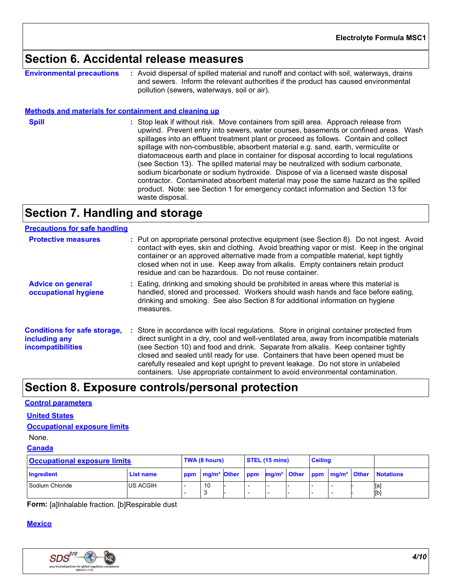## **Section 6. Accidental release measures**

**Environmental precautions :** Avoid dispersal of spilled material and runoff and contact with soil, waterways, drains and sewers. Inform the relevant authorities if the product has caused environmental pollution (sewers, waterways, soil or air).

#### **Methods and materials for containment and cleaning up**

**Spill** Stop leak if without risk. Move containers from spill area. Approach release from spill upwind. Prevent entry into sewers, water courses, basements or confined areas. Wash spillages into an effluent treatment plant or proceed as follows. Contain and collect spillage with non-combustible, absorbent material e.g. sand, earth, vermiculite or diatomaceous earth and place in container for disposal according to local regulations (see Section 13). The spilled material may be neutralized with sodium carbonate, sodium bicarbonate or sodium hydroxide. Dispose of via a licensed waste disposal contractor. Contaminated absorbent material may pose the same hazard as the spilled product. Note: see Section 1 for emergency contact information and Section 13 for waste disposal.

## **Section 7. Handling and storage**

| <b>Precautions for safe handling</b>                                             |                                                                                                                                                                                                                                                                                                                                                                                                                                                                                                                                    |
|----------------------------------------------------------------------------------|------------------------------------------------------------------------------------------------------------------------------------------------------------------------------------------------------------------------------------------------------------------------------------------------------------------------------------------------------------------------------------------------------------------------------------------------------------------------------------------------------------------------------------|
| <b>Protective measures</b>                                                       | : Put on appropriate personal protective equipment (see Section 8). Do not ingest. Avoid<br>contact with eyes, skin and clothing. Avoid breathing vapor or mist. Keep in the original<br>container or an approved alternative made from a compatible material, kept tightly<br>closed when not in use. Keep away from alkalis. Empty containers retain product<br>residue and can be hazardous. Do not reuse container.                                                                                                            |
| <b>Advice on general</b><br>occupational hygiene                                 | : Eating, drinking and smoking should be prohibited in areas where this material is<br>handled, stored and processed. Workers should wash hands and face before eating,<br>drinking and smoking. See also Section 8 for additional information on hygiene<br>measures.                                                                                                                                                                                                                                                             |
| <b>Conditions for safe storage,</b><br>including any<br><b>incompatibilities</b> | Store in accordance with local regulations. Store in original container protected from<br>direct sunlight in a dry, cool and well-ventilated area, away from incompatible materials<br>(see Section 10) and food and drink. Separate from alkalis. Keep container tightly<br>closed and sealed until ready for use. Containers that have been opened must be<br>carefully resealed and kept upright to prevent leakage. Do not store in unlabeled<br>containers. Use appropriate containment to avoid environmental contamination. |

## **Section 8. Exposure controls/personal protection**

#### **Control parameters**

**United States**

```
Occupational exposure limits
```
None.

### **Canada**

| <b>Occupational exposure limits</b> |                 | <b>TWA (8 hours)</b> |    | $\overline{\text{STEL}}$ (15 mins) |  | <b>Ceiling</b> |  |  |  |                                                                                                                 |
|-------------------------------------|-----------------|----------------------|----|------------------------------------|--|----------------|--|--|--|-----------------------------------------------------------------------------------------------------------------|
| Ingredient                          | List name       |                      |    |                                    |  |                |  |  |  | ppm   mg/m <sup>3</sup>   Other   ppm   mg/m <sup>3</sup>   Other   ppm   mg/m <sup>3</sup>   Other   Notations |
| Sodium Chloride                     | <b>US ACGIH</b> |                      | 10 |                                    |  |                |  |  |  | [a]<br>[b]                                                                                                      |

**Form:** [a]Inhalable fraction. [b]Respirable dust

#### **Mexico**

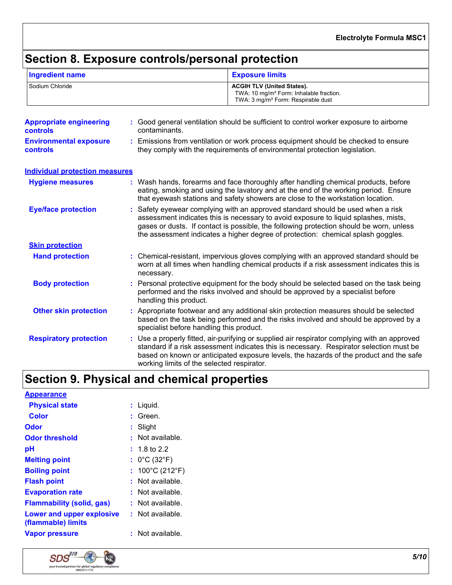## **Section 8. Exposure controls/personal protection**

| <b>Ingredient name</b>                            |                                                                                                                                                                  | <b>Exposure limits</b>                                                                                                                                                                                                                                                                                                                              |  |  |  |
|---------------------------------------------------|------------------------------------------------------------------------------------------------------------------------------------------------------------------|-----------------------------------------------------------------------------------------------------------------------------------------------------------------------------------------------------------------------------------------------------------------------------------------------------------------------------------------------------|--|--|--|
| Sodium Chloride                                   |                                                                                                                                                                  | <b>ACGIH TLV (United States).</b><br>TWA: 10 mg/m <sup>3</sup> Form: Inhalable fraction.<br>TWA: 3 mg/m <sup>3</sup> Form: Respirable dust                                                                                                                                                                                                          |  |  |  |
| <b>Appropriate engineering</b><br><b>controls</b> | contaminants.                                                                                                                                                    | : Good general ventilation should be sufficient to control worker exposure to airborne                                                                                                                                                                                                                                                              |  |  |  |
| <b>Environmental exposure</b><br><b>controls</b>  | : Emissions from ventilation or work process equipment should be checked to ensure<br>they comply with the requirements of environmental protection legislation. |                                                                                                                                                                                                                                                                                                                                                     |  |  |  |
| <b>Individual protection measures</b>             |                                                                                                                                                                  |                                                                                                                                                                                                                                                                                                                                                     |  |  |  |
| <b>Hygiene measures</b>                           |                                                                                                                                                                  | : Wash hands, forearms and face thoroughly after handling chemical products, before<br>eating, smoking and using the lavatory and at the end of the working period. Ensure<br>that eyewash stations and safety showers are close to the workstation location.                                                                                       |  |  |  |
| <b>Eye/face protection</b>                        |                                                                                                                                                                  | Safety eyewear complying with an approved standard should be used when a risk<br>assessment indicates this is necessary to avoid exposure to liquid splashes, mists,<br>gases or dusts. If contact is possible, the following protection should be worn, unless<br>the assessment indicates a higher degree of protection: chemical splash goggles. |  |  |  |
| <b>Skin protection</b>                            |                                                                                                                                                                  |                                                                                                                                                                                                                                                                                                                                                     |  |  |  |
| <b>Hand protection</b>                            | necessary.                                                                                                                                                       | : Chemical-resistant, impervious gloves complying with an approved standard should be<br>worn at all times when handling chemical products if a risk assessment indicates this is                                                                                                                                                                   |  |  |  |
| <b>Body protection</b>                            | handling this product.                                                                                                                                           | : Personal protective equipment for the body should be selected based on the task being<br>performed and the risks involved and should be approved by a specialist before                                                                                                                                                                           |  |  |  |
| <b>Other skin protection</b>                      |                                                                                                                                                                  | : Appropriate footwear and any additional skin protection measures should be selected<br>based on the task being performed and the risks involved and should be approved by a<br>specialist before handling this product.                                                                                                                           |  |  |  |
| <b>Respiratory protection</b>                     |                                                                                                                                                                  | : Use a properly fitted, air-purifying or supplied air respirator complying with an approved<br>standard if a risk assessment indicates this is necessary. Respirator selection must be<br>based on known or anticipated exposure levels, the hazards of the product and the safe<br>working limits of the selected respirator.                     |  |  |  |

## **Section 9. Physical and chemical properties**

| <b>Appearance</b>                                      |                                      |
|--------------------------------------------------------|--------------------------------------|
| <b>Physical state</b>                                  | : Liquid.                            |
| Color                                                  | : Green.                             |
| Odor                                                   | Slight                               |
| <b>Odor threshold</b>                                  | : Not available.                     |
| рH                                                     | $: 1.8$ to 2.2                       |
| <b>Melting point</b>                                   | : $0^{\circ}$ C (32 $^{\circ}$ F)    |
| <b>Boiling point</b>                                   | : $100^{\circ}$ C (212 $^{\circ}$ F) |
| <b>Flash point</b>                                     | $:$ Not available.                   |
| <b>Evaporation rate</b>                                | $:$ Not available.                   |
| <b>Flammability (solid, gas)</b>                       | $:$ Not available.                   |
| <b>Lower and upper explosive</b><br>(flammable) limits | $:$ Not available.                   |
| <b>Vapor pressure</b>                                  | $:$ Not available.                   |

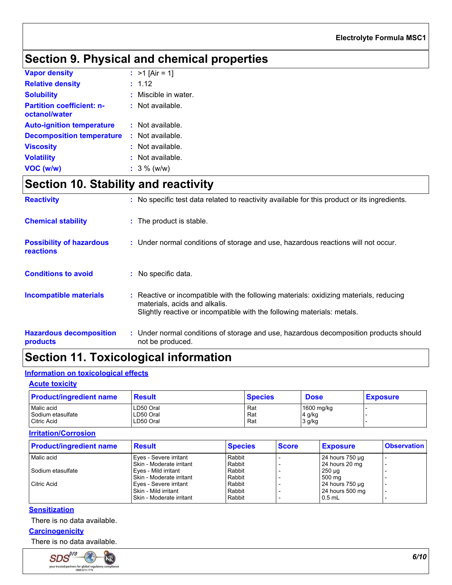# **Section 9. Physical and chemical properties**

| <b>Vapor density</b>                              | : $>1$ [Air = 1]     |
|---------------------------------------------------|----------------------|
| <b>Relative density</b>                           | : 1.12               |
| <b>Solubility</b>                                 | : Miscible in water. |
| <b>Partition coefficient: n-</b><br>octanol/water | $:$ Not available.   |
| <b>Auto-ignition temperature</b>                  | $:$ Not available.   |
| <b>Decomposition temperature</b>                  | : Not available.     |
| <b>Viscosity</b>                                  | : Not available.     |
| <b>Volatility</b>                                 | : Not available.     |
| VOC (w/w)                                         | $: 3\%$ (w/w)        |

## **Section 10. Stability and reactivity**

| <b>Reactivity</b>                                   | : No specific test data related to reactivity available for this product or its ingredients.                                                                                                       |
|-----------------------------------------------------|----------------------------------------------------------------------------------------------------------------------------------------------------------------------------------------------------|
| <b>Chemical stability</b>                           | : The product is stable.                                                                                                                                                                           |
| <b>Possibility of hazardous</b><br><b>reactions</b> | : Under normal conditions of storage and use, hazardous reactions will not occur.                                                                                                                  |
| <b>Conditions to avoid</b>                          | : No specific data.                                                                                                                                                                                |
| <b>Incompatible materials</b>                       | : Reactive or incompatible with the following materials: oxidizing materials, reducing<br>materials, acids and alkalis.<br>Slightly reactive or incompatible with the following materials: metals. |
| <b>Hazardous decomposition</b><br>products          | : Under normal conditions of storage and use, hazardous decomposition products should<br>not be produced.                                                                                          |

## **Section 11. Toxicological information**

### **Information on toxicological effects**

#### **Acute toxicity**

| <b>Product/ingredient name</b> | <b>Result</b> | <b>Species</b> | <b>Dose</b> | <b>Exposure</b> |
|--------------------------------|---------------|----------------|-------------|-----------------|
| Malic acid                     | LD50 Oral     | Rat            | 1600 mg/kg  |                 |
| l Sodium etasulfate            | LD50 Oral     | Rat            | 4 g/kg      |                 |
| Citric Acid                    | LD50 Oral     | Rat            | 3 g/kg      |                 |

### **Irritation/Corrosion**

| <b>Product/ingredient name</b> | <b>Result</b>            | <b>Species</b> | <b>Score</b> | <b>Exposure</b> | <b>Observation</b>       |
|--------------------------------|--------------------------|----------------|--------------|-----------------|--------------------------|
| Malic acid                     | Eyes - Severe irritant   | Rabbit         |              | 24 hours 750 µg | $\overline{\phantom{0}}$ |
|                                | Skin - Moderate irritant | Rabbit         |              | 24 hours 20 mg  |                          |
| Sodium etasulfate              | Eves - Mild irritant     | Rabbit         |              | $250 \mu q$     |                          |
|                                | Skin - Moderate irritant | Rabbit         |              | 500 mg          |                          |
| <b>Citric Acid</b>             | Eves - Severe irritant   | Rabbit         |              | 24 hours 750 µg |                          |
|                                | Skin - Mild irritant     | Rabbit         |              | 24 hours 500 mg |                          |
|                                | Skin - Moderate irritant | Rabbit         |              | $0.5$ mL        |                          |
|                                |                          |                |              |                 |                          |

#### **Sensitization**

There is no data available.

**Carcinogenicity**

There is no data available.

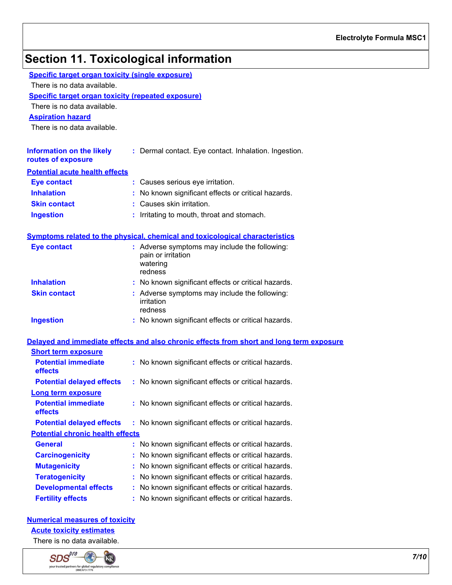# **Section 11. Toxicological information**

| <b>Specific target organ toxicity (single exposure)</b>   |                                                                                          |
|-----------------------------------------------------------|------------------------------------------------------------------------------------------|
| There is no data available.                               |                                                                                          |
| <b>Specific target organ toxicity (repeated exposure)</b> |                                                                                          |
| There is no data available.                               |                                                                                          |
| <b>Aspiration hazard</b>                                  |                                                                                          |
| There is no data available.                               |                                                                                          |
| <b>Information on the likely</b>                          | : Dermal contact. Eye contact. Inhalation. Ingestion.                                    |
| routes of exposure                                        |                                                                                          |
| <b>Potential acute health effects</b>                     |                                                                                          |
| <b>Eye contact</b>                                        | : Causes serious eye irritation.                                                         |
| <b>Inhalation</b>                                         | : No known significant effects or critical hazards.                                      |
| <b>Skin contact</b>                                       | Causes skin irritation.                                                                  |
| <b>Ingestion</b>                                          | Irritating to mouth, throat and stomach.                                                 |
|                                                           |                                                                                          |
|                                                           | Symptoms related to the physical, chemical and toxicological characteristics             |
| <b>Eye contact</b>                                        | : Adverse symptoms may include the following:<br>pain or irritation                      |
|                                                           | watering                                                                                 |
|                                                           | redness                                                                                  |
| <b>Inhalation</b>                                         | : No known significant effects or critical hazards.                                      |
| <b>Skin contact</b>                                       | : Adverse symptoms may include the following:<br>irritation                              |
|                                                           | redness                                                                                  |
| <b>Ingestion</b>                                          | : No known significant effects or critical hazards.                                      |
|                                                           | Delayed and immediate effects and also chronic effects from short and long term exposure |
| <b>Short term exposure</b>                                |                                                                                          |
| <b>Potential immediate</b>                                | : No known significant effects or critical hazards.                                      |
| effects                                                   |                                                                                          |
| <b>Potential delayed effects</b>                          | : No known significant effects or critical hazards.                                      |
| Long term exposure                                        |                                                                                          |
| <b>Potential immediate</b><br>effects                     | : No known significant effects or critical hazards.                                      |
| <b>Potential delayed effects</b>                          | : No known significant effects or critical hazards.                                      |
| <b>Potential chronic health effects</b>                   |                                                                                          |
| <b>General</b>                                            | No known significant effects or critical hazards.                                        |
| <b>Carcinogenicity</b>                                    | No known significant effects or critical hazards.                                        |
| <b>Mutagenicity</b>                                       | No known significant effects or critical hazards.                                        |
| <b>Teratogenicity</b>                                     | No known significant effects or critical hazards.                                        |
| <b>Developmental effects</b>                              | No known significant effects or critical hazards.                                        |
| <b>Fertility effects</b>                                  | No known significant effects or critical hazards.                                        |

#### **Numerical measures of toxicity**

### **Acute toxicity estimates**

There is no data available.

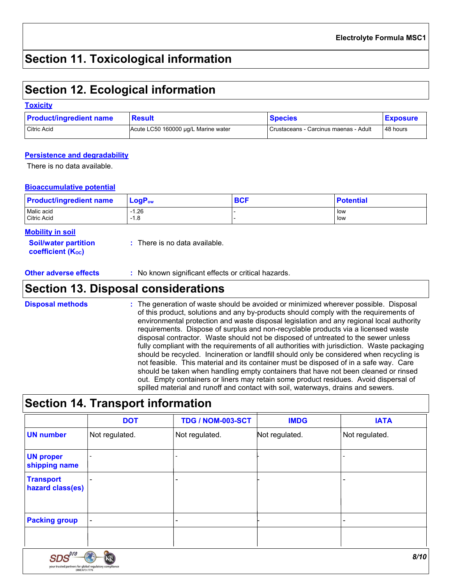## **Section 11. Toxicological information**

## **Section 12. Ecological information**

#### **Toxicity**

| <b>Product/ingredient name</b> | <b>Result</b>                       | <b>Species</b>                        | <b>Exposure</b> |
|--------------------------------|-------------------------------------|---------------------------------------|-----------------|
| Citric Acid                    | Acute LC50 160000 µg/L Marine water | Crustaceans - Carcinus maenas - Adult | 48 hours        |

#### **Persistence and degradability**

There is no data available.

#### **Bioaccumulative potential**

| <b>Product/ingredient name</b> | $\mathsf{LogP}_\mathsf{ow}$ | <b>BCF</b> | <b>Potential</b> |
|--------------------------------|-----------------------------|------------|------------------|
| Malic acid                     | $-1.26$                     |            | low              |
| Citric Acid                    | $-1.8$                      |            | low              |

| <b>Mobility in soil</b> |
|-------------------------|
|-------------------------|

|  | <b>Soil/water partition</b><br><b>coefficient (Koc)</b> | : There is no data available. |
|--|---------------------------------------------------------|-------------------------------|
|--|---------------------------------------------------------|-------------------------------|

**Other adverse effects :** No known significant effects or critical hazards.

### **Section 13. Disposal considerations**

The generation of waste should be avoided or minimized wherever possible. Disposal of this product, solutions and any by-products should comply with the requirements of environmental protection and waste disposal legislation and any regional local authority requirements. Dispose of surplus and non-recyclable products via a licensed waste disposal contractor. Waste should not be disposed of untreated to the sewer unless fully compliant with the requirements of all authorities with jurisdiction. Waste packaging should be recycled. Incineration or landfill should only be considered when recycling is not feasible. This material and its container must be disposed of in a safe way. Care should be taken when handling empty containers that have not been cleaned or rinsed out. Empty containers or liners may retain some product residues. Avoid dispersal of spilled material and runoff and contact with soil, waterways, drains and sewers. **Disposal methods :**

### **Section 14. Transport information**

your trusted partners for global regulatory compliance<br>(888) 673-7776

|                                      | <b>DOT</b>     | <b>TDG / NOM-003-SCT</b> | <b>IMDG</b>    | <b>IATA</b>    |
|--------------------------------------|----------------|--------------------------|----------------|----------------|
| <b>UN number</b>                     | Not regulated. | Not regulated.           | Not regulated. | Not regulated. |
| <b>UN proper</b><br>shipping name    |                | -                        |                |                |
| <b>Transport</b><br>hazard class(es) |                | $\blacksquare$           |                |                |
| <b>Packing group</b>                 |                | -                        |                |                |
|                                      |                |                          |                |                |
| $\mathit{SDS}^{\rho_{l'r}}$          | кĶ             |                          |                | 8/10           |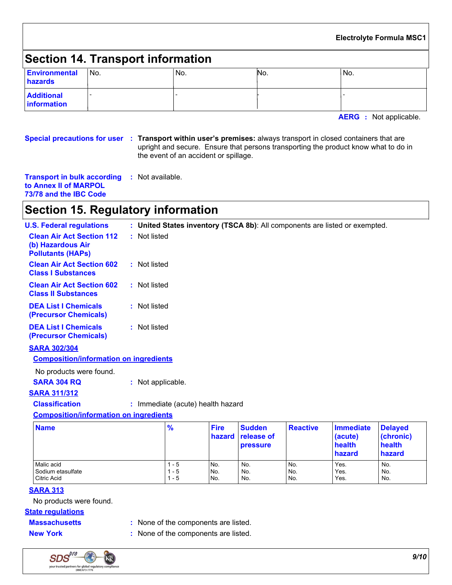|                                         |                                          |      |     | <b>Electrolyte Formula MSC1</b> |
|-----------------------------------------|------------------------------------------|------|-----|---------------------------------|
|                                         | <b>Section 14. Transport information</b> |      |     |                                 |
| Environmental<br><b>hazards</b>         | l No.                                    | 'No. | No. | No.                             |
| <b>Additional</b><br><b>Information</b> |                                          |      |     |                                 |

**AERG :** Not applicable.

**Special precautions for user Transport within user's premises:** always transport in closed containers that are **:** upright and secure. Ensure that persons transporting the product know what to do in the event of an accident or spillage.

**Transport in bulk according :** Not available. **to Annex II of MARPOL 73/78 and the IBC Code**

## **Section 15. Regulatory information**

| <b>U.S. Federal regulations</b>                                                   | : United States inventory (TSCA 8b): All components are listed or exempted. |
|-----------------------------------------------------------------------------------|-----------------------------------------------------------------------------|
| <b>Clean Air Act Section 112</b><br>(b) Hazardous Air<br><b>Pollutants (HAPS)</b> | : Not listed                                                                |
| <b>Clean Air Act Section 602</b><br><b>Class I Substances</b>                     | : Not listed                                                                |
| <b>Clean Air Act Section 602</b><br><b>Class II Substances</b>                    | : Not listed                                                                |
| <b>DEA List I Chemicals</b><br>(Precursor Chemicals)                              | : Not listed                                                                |
| <b>DEA List I Chemicals</b><br>(Precursor Chemicals)                              | : Not listed                                                                |
| <b>SARA 302/304</b>                                                               |                                                                             |
| <b>Composition/information on ingredients</b>                                     |                                                                             |
| No products were found.                                                           |                                                                             |
| <b>SARA 304 RQ</b>                                                                | : Not applicable.                                                           |
| <b>SARA 311/312</b>                                                               |                                                                             |
| <b>Classification</b>                                                             | : Immediate (acute) health hazard                                           |
| <b>Composition/information on ingredients</b>                                     |                                                                             |
|                                                                                   |                                                                             |

| <b>Name</b>        | $\frac{9}{6}$ | <b>Fire</b> | <b>Sudden</b><br>hazard release of<br><b>pressure</b> | <b>Reactive</b> | Immediate<br>(acute)<br>health<br>hazard | <b>Delayed</b><br>(chronic)<br>health<br>hazard |
|--------------------|---------------|-------------|-------------------------------------------------------|-----------------|------------------------------------------|-------------------------------------------------|
| Malic acid         | - 5           | No.         | No.                                                   | No.             | Yes.                                     | No.                                             |
| Sodium etasulfate  | - 5           | No.         | No.                                                   | No.             | Yes.                                     | No.                                             |
| <b>Citric Acid</b> | $1 - 5$       | No.         | No.                                                   | No.             | Yes.                                     | No.                                             |

### **SARA 313**

No products were found.

#### **State regulations**

- **Massachusetts** : None of the components are listed.
- 
- **New York :** None of the components are listed.

 $SDS<sup>pro</sup>$ K your trusted partners for global regulatory compliance